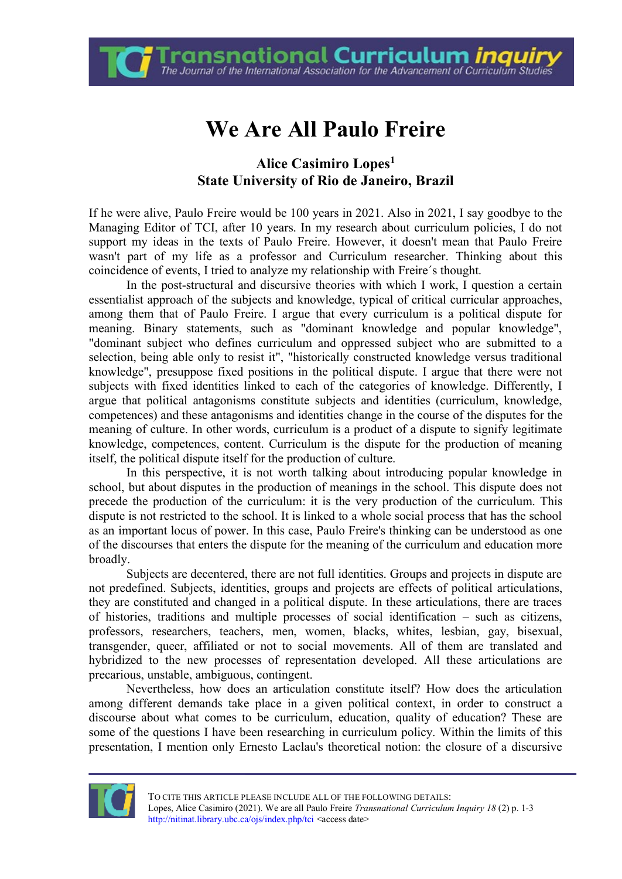**Fransnational Curriculum** *inquir***y**<br>The Journal of the International Association for the Advancement of Curriculum Studies

## **We Are All Paulo Freire**

## **Alice Casimiro Lopes<sup>1</sup> State University of Rio de Janeiro, Brazil**

If he were alive, Paulo Freire would be 100 years in 2021. Also in 2021, I say goodbye to the Managing Editor of TCI, after 10 years. In my research about curriculum policies, I do not support my ideas in the texts of Paulo Freire. However, it doesn't mean that Paulo Freire wasn't part of my life as a professor and Curriculum researcher. Thinking about this coincidence of events, I tried to analyze my relationship with Freire´s thought.

In the post-structural and discursive theories with which I work, I question a certain essentialist approach of the subjects and knowledge, typical of critical curricular approaches, among them that of Paulo Freire. I argue that every curriculum is a political dispute for meaning. Binary statements, such as "dominant knowledge and popular knowledge", "dominant subject who defines curriculum and oppressed subject who are submitted to a selection, being able only to resist it", "historically constructed knowledge versus traditional knowledge", presuppose fixed positions in the political dispute. I argue that there were not subjects with fixed identities linked to each of the categories of knowledge. Differently, I argue that political antagonisms constitute subjects and identities (curriculum, knowledge, competences) and these antagonisms and identities change in the course of the disputes for the meaning of culture. In other words, curriculum is a product of a dispute to signify legitimate knowledge, competences, content. Curriculum is the dispute for the production of meaning itself, the political dispute itself for the production of culture.

In this perspective, it is not worth talking about introducing popular knowledge in school, but about disputes in the production of meanings in the school. This dispute does not precede the production of the curriculum: it is the very production of the curriculum. This dispute is not restricted to the school. It is linked to a whole social process that has the school as an important locus of power. In this case, Paulo Freire's thinking can be understood as one of the discourses that enters the dispute for the meaning of the curriculum and education more broadly.

Subjects are decentered, there are not full identities. Groups and projects in dispute are not predefined. Subjects, identities, groups and projects are effects of political articulations, they are constituted and changed in a political dispute. In these articulations, there are traces of histories, traditions and multiple processes of social identification – such as citizens, professors, researchers, teachers, men, women, blacks, whites, lesbian, gay, bisexual, transgender, queer, affiliated or not to social movements. All of them are translated and hybridized to the new processes of representation developed. All these articulations are precarious, unstable, ambiguous, contingent.

Nevertheless, how does an articulation constitute itself? How does the articulation among different demands take place in a given political context, in order to construct a discourse about what comes to be curriculum, education, quality of education? These are some of the questions I have been researching in curriculum policy. Within the limits of this presentation, I mention only Ernesto Laclau's theoretical notion: the closure of a discursive

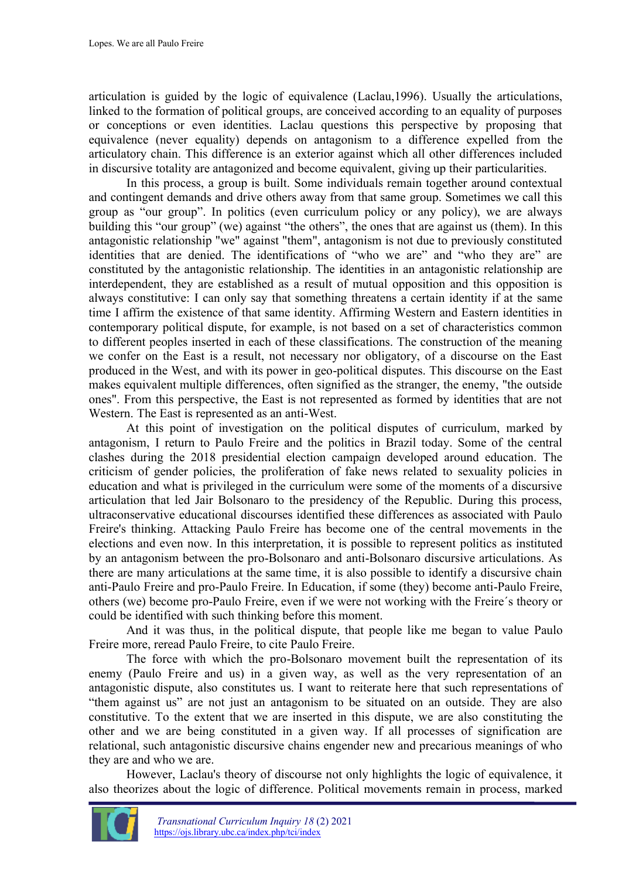articulation is guided by the logic of equivalence (Laclau,1996). Usually the articulations, linked to the formation of political groups, are conceived according to an equality of purposes or conceptions or even identities. Laclau questions this perspective by proposing that equivalence (never equality) depends on antagonism to a difference expelled from the articulatory chain. This difference is an exterior against which all other differences included in discursive totality are antagonized and become equivalent, giving up their particularities.

In this process, a group is built. Some individuals remain together around contextual and contingent demands and drive others away from that same group. Sometimes we call this group as "our group". In politics (even curriculum policy or any policy), we are always building this "our group" (we) against "the others", the ones that are against us (them). In this antagonistic relationship "we" against "them", antagonism is not due to previously constituted identities that are denied. The identifications of "who we are" and "who they are" are constituted by the antagonistic relationship. The identities in an antagonistic relationship are interdependent, they are established as a result of mutual opposition and this opposition is always constitutive: I can only say that something threatens a certain identity if at the same time I affirm the existence of that same identity. Affirming Western and Eastern identities in contemporary political dispute, for example, is not based on a set of characteristics common to different peoples inserted in each of these classifications. The construction of the meaning we confer on the East is a result, not necessary nor obligatory, of a discourse on the East produced in the West, and with its power in geo-political disputes. This discourse on the East makes equivalent multiple differences, often signified as the stranger, the enemy, "the outside ones". From this perspective, the East is not represented as formed by identities that are not Western. The East is represented as an anti-West.

At this point of investigation on the political disputes of curriculum, marked by antagonism, I return to Paulo Freire and the politics in Brazil today. Some of the central clashes during the 2018 presidential election campaign developed around education. The criticism of gender policies, the proliferation of fake news related to sexuality policies in education and what is privileged in the curriculum were some of the moments of a discursive articulation that led Jair Bolsonaro to the presidency of the Republic. During this process, ultraconservative educational discourses identified these differences as associated with Paulo Freire's thinking. Attacking Paulo Freire has become one of the central movements in the elections and even now. In this interpretation, it is possible to represent politics as instituted by an antagonism between the pro-Bolsonaro and anti-Bolsonaro discursive articulations. As there are many articulations at the same time, it is also possible to identify a discursive chain anti-Paulo Freire and pro-Paulo Freire. In Education, if some (they) become anti-Paulo Freire, others (we) become pro-Paulo Freire, even if we were not working with the Freire´s theory or could be identified with such thinking before this moment.

And it was thus, in the political dispute, that people like me began to value Paulo Freire more, reread Paulo Freire, to cite Paulo Freire.

The force with which the pro-Bolsonaro movement built the representation of its enemy (Paulo Freire and us) in a given way, as well as the very representation of an antagonistic dispute, also constitutes us. I want to reiterate here that such representations of "them against us" are not just an antagonism to be situated on an outside. They are also constitutive. To the extent that we are inserted in this dispute, we are also constituting the other and we are being constituted in a given way. If all processes of signification are relational, such antagonistic discursive chains engender new and precarious meanings of who they are and who we are.

However, Laclau's theory of discourse not only highlights the logic of equivalence, it also theorizes about the logic of difference. Political movements remain in process, marked